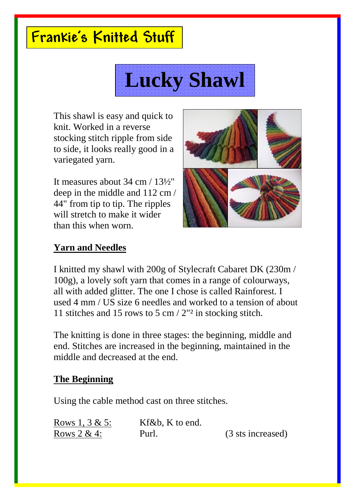# **Frankie's Knitted Stuff**



This shawl is easy and quick to knit. Worked in a reverse stocking stitch ripple from side to side, it looks really good in a variegated yarn.

It measures about 34 cm / 13½" deep in the middle and 112 cm / 44" from tip to tip. The ripples will stretch to make it wider than this when worn.



## **Yarn and Needles**

I knitted my shawl with 200g of Stylecraft Cabaret DK (230m / 100g), a lovely soft yarn that comes in a range of colourways, all with added glitter. The one I chose is called Rainforest. I used 4 mm / US size 6 needles and worked to a tension of about 11 stitches and 15 rows to 5 cm / 2"² in stocking stitch.

The knitting is done in three stages: the beginning, middle and end. Stitches are increased in the beginning, maintained in the middle and decreased at the end.

### **The Beginning**

Using the cable method cast on three stitches.

| Rows 1, $3 & 5$ : | Kf&b, K to end. |                   |
|-------------------|-----------------|-------------------|
| Rows $2 & 4$ :    | Purl.           | (3 sts increased) |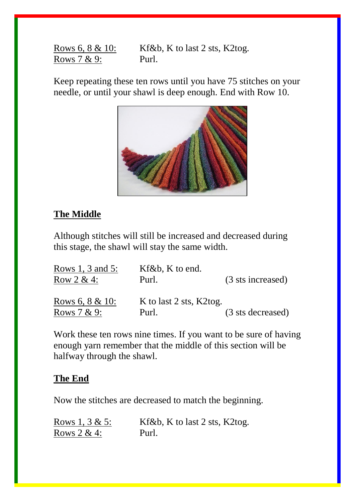Rows 6, 8 & 10: Kf&b, K to last 2 sts, K2tog. Rows 7 & 9: Purl.

Keep repeating these ten rows until you have 75 stitches on your needle, or until your shawl is deep enough. End with Row 10.



#### **The Middle**

Although stitches will still be increased and decreased during this stage, the shawl will stay the same width.

| Rows 1, 3 and 5:    | $Kf\&b$ , K to end.     |                   |  |
|---------------------|-------------------------|-------------------|--|
| Row $2 & 4$ :       | Purl.                   | (3 sts increased) |  |
| Rows 6, $8 \& 10$ : | K to last 2 sts, K2tog. |                   |  |
| Rows $7 & 9$ :      | Purl.                   | (3 sts decreased) |  |

Work these ten rows nine times. If you want to be sure of having enough yarn remember that the middle of this section will be halfway through the shawl.

#### **The End**

Now the stitches are decreased to match the beginning.

| Rows 1, $3 & 5$ : | Kf&b, K to last 2 sts, K2tog. |
|-------------------|-------------------------------|
| Rows $2 & 4$ :    | Purl.                         |